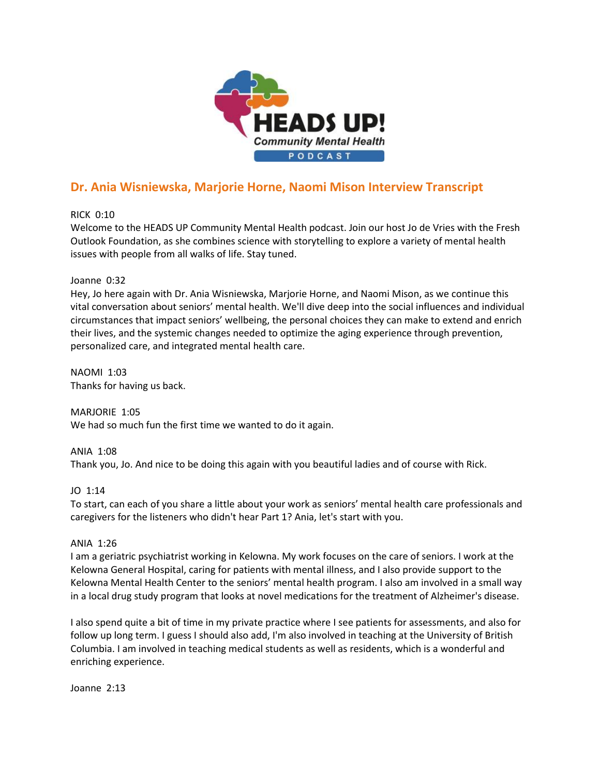

# **Dr. Ania Wisniewska, Marjorie Horne, Naomi Mison Interview Transcript**

RICK 0:10

Welcome to the HEADS UP Community Mental Health podcast. Join our host Jo de Vries with the Fresh Outlook Foundation, as she combines science with storytelling to explore a variety of mental health issues with people from all walks of life. Stay tuned.

# Joanne 0:32

Hey, Jo here again with Dr. Ania Wisniewska, Marjorie Horne, and Naomi Mison, as we continue this vital conversation about seniors' mental health. We'll dive deep into the social influences and individual circumstances that impact seniors' wellbeing, the personal choices they can make to extend and enrich their lives, and the systemic changes needed to optimize the aging experience through prevention, personalized care, and integrated mental health care.

NAOMI 1:03 Thanks for having us back.

MARJORIE 1:05 We had so much fun the first time we wanted to do it again.

ANIA 1:08 Thank you, Jo. And nice to be doing this again with you beautiful ladies and of course with Rick.

# JO 1:14

To start, can each of you share a little about your work as seniors' mental health care professionals and caregivers for the listeners who didn't hear Part 1? Ania, let's start with you.

# ANIA 1:26

I am a geriatric psychiatrist working in Kelowna. My work focuses on the care of seniors. I work at the Kelowna General Hospital, caring for patients with mental illness, and I also provide support to the Kelowna Mental Health Center to the seniors' mental health program. I also am involved in a small way in a local drug study program that looks at novel medications for the treatment of Alzheimer's disease.

I also spend quite a bit of time in my private practice where I see patients for assessments, and also for follow up long term. I guess I should also add, I'm also involved in teaching at the University of British Columbia. I am involved in teaching medical students as well as residents, which is a wonderful and enriching experience.

Joanne 2:13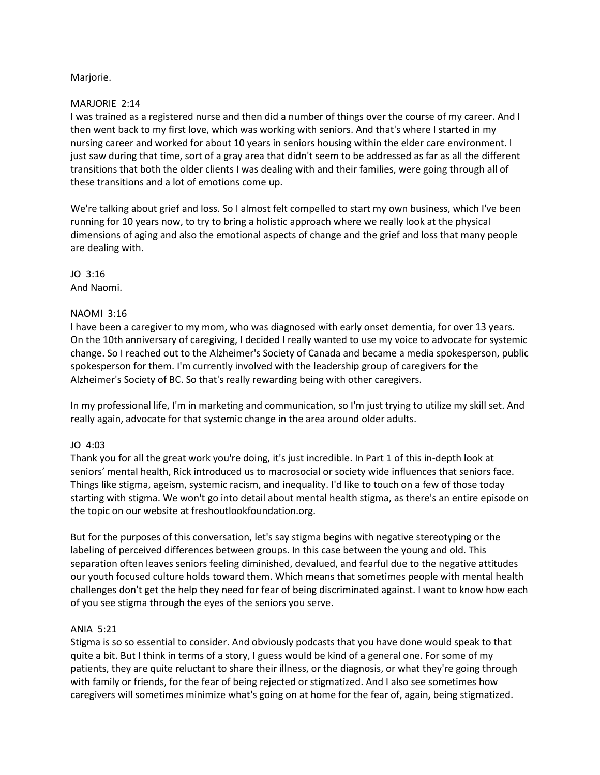# Marjorie.

# MARJORIE 2:14

I was trained as a registered nurse and then did a number of things over the course of my career. And I then went back to my first love, which was working with seniors. And that's where I started in my nursing career and worked for about 10 years in seniors housing within the elder care environment. I just saw during that time, sort of a gray area that didn't seem to be addressed as far as all the different transitions that both the older clients I was dealing with and their families, were going through all of these transitions and a lot of emotions come up.

We're talking about grief and loss. So I almost felt compelled to start my own business, which I've been running for 10 years now, to try to bring a holistic approach where we really look at the physical dimensions of aging and also the emotional aspects of change and the grief and loss that many people are dealing with.

JO 3:16 And Naomi.

# NAOMI 3:16

I have been a caregiver to my mom, who was diagnosed with early onset dementia, for over 13 years. On the 10th anniversary of caregiving, I decided I really wanted to use my voice to advocate for systemic change. So I reached out to the Alzheimer's Society of Canada and became a media spokesperson, public spokesperson for them. I'm currently involved with the leadership group of caregivers for the Alzheimer's Society of BC. So that's really rewarding being with other caregivers.

In my professional life, I'm in marketing and communication, so I'm just trying to utilize my skill set. And really again, advocate for that systemic change in the area around older adults.

# JO 4:03

Thank you for all the great work you're doing, it's just incredible. In Part 1 of this in-depth look at seniors' mental health, Rick introduced us to macrosocial or society wide influences that seniors face. Things like stigma, ageism, systemic racism, and inequality. I'd like to touch on a few of those today starting with stigma. We won't go into detail about mental health stigma, as there's an entire episode on the topic on our website at freshoutlookfoundation.org.

But for the purposes of this conversation, let's say stigma begins with negative stereotyping or the labeling of perceived differences between groups. In this case between the young and old. This separation often leaves seniors feeling diminished, devalued, and fearful due to the negative attitudes our youth focused culture holds toward them. Which means that sometimes people with mental health challenges don't get the help they need for fear of being discriminated against. I want to know how each of you see stigma through the eyes of the seniors you serve.

# ANIA 5:21

Stigma is so so essential to consider. And obviously podcasts that you have done would speak to that quite a bit. But I think in terms of a story, I guess would be kind of a general one. For some of my patients, they are quite reluctant to share their illness, or the diagnosis, or what they're going through with family or friends, for the fear of being rejected or stigmatized. And I also see sometimes how caregivers will sometimes minimize what's going on at home for the fear of, again, being stigmatized.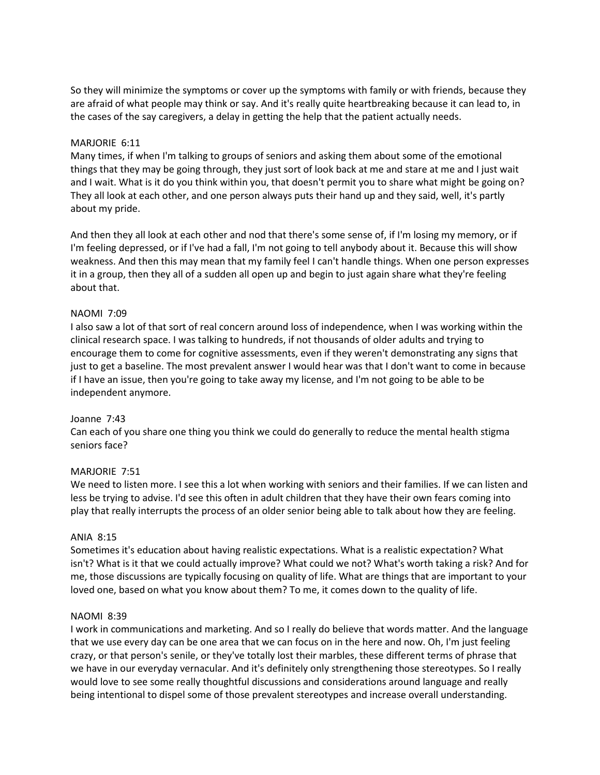So they will minimize the symptoms or cover up the symptoms with family or with friends, because they are afraid of what people may think or say. And it's really quite heartbreaking because it can lead to, in the cases of the say caregivers, a delay in getting the help that the patient actually needs.

# MARJORIE 6:11

Many times, if when I'm talking to groups of seniors and asking them about some of the emotional things that they may be going through, they just sort of look back at me and stare at me and I just wait and I wait. What is it do you think within you, that doesn't permit you to share what might be going on? They all look at each other, and one person always puts their hand up and they said, well, it's partly about my pride.

And then they all look at each other and nod that there's some sense of, if I'm losing my memory, or if I'm feeling depressed, or if I've had a fall, I'm not going to tell anybody about it. Because this will show weakness. And then this may mean that my family feel I can't handle things. When one person expresses it in a group, then they all of a sudden all open up and begin to just again share what they're feeling about that.

#### NAOMI 7:09

I also saw a lot of that sort of real concern around loss of independence, when I was working within the clinical research space. I was talking to hundreds, if not thousands of older adults and trying to encourage them to come for cognitive assessments, even if they weren't demonstrating any signs that just to get a baseline. The most prevalent answer I would hear was that I don't want to come in because if I have an issue, then you're going to take away my license, and I'm not going to be able to be independent anymore.

#### Joanne 7:43

Can each of you share one thing you think we could do generally to reduce the mental health stigma seniors face?

# MARJORIE 7:51

We need to listen more. I see this a lot when working with seniors and their families. If we can listen and less be trying to advise. I'd see this often in adult children that they have their own fears coming into play that really interrupts the process of an older senior being able to talk about how they are feeling.

#### ANIA 8:15

Sometimes it's education about having realistic expectations. What is a realistic expectation? What isn't? What is it that we could actually improve? What could we not? What's worth taking a risk? And for me, those discussions are typically focusing on quality of life. What are things that are important to your loved one, based on what you know about them? To me, it comes down to the quality of life.

#### NAOMI 8:39

I work in communications and marketing. And so I really do believe that words matter. And the language that we use every day can be one area that we can focus on in the here and now. Oh, I'm just feeling crazy, or that person's senile, or they've totally lost their marbles, these different terms of phrase that we have in our everyday vernacular. And it's definitely only strengthening those stereotypes. So I really would love to see some really thoughtful discussions and considerations around language and really being intentional to dispel some of those prevalent stereotypes and increase overall understanding.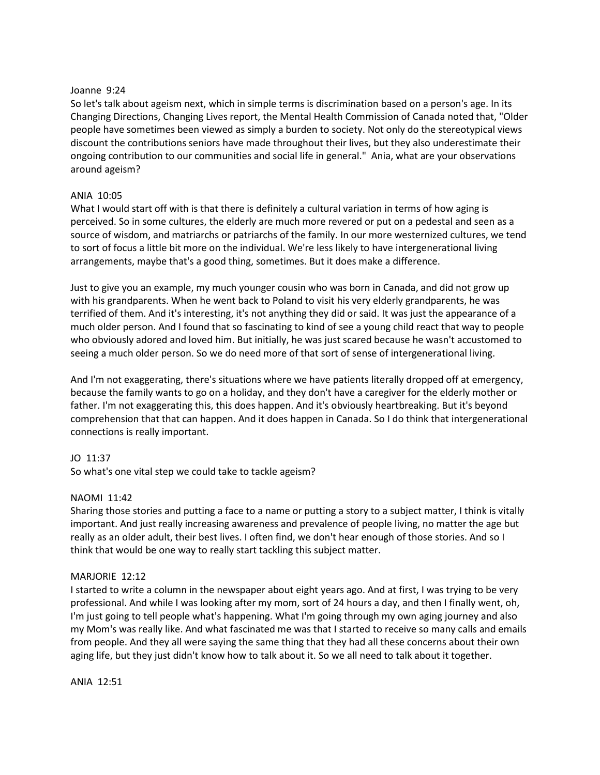# Joanne 9:24

So let's talk about ageism next, which in simple terms is discrimination based on a person's age. In its Changing Directions, Changing Lives report, the Mental Health Commission of Canada noted that, "Older people have sometimes been viewed as simply a burden to society. Not only do the stereotypical views discount the contributions seniors have made throughout their lives, but they also underestimate their ongoing contribution to our communities and social life in general." Ania, what are your observations around ageism?

# ANIA 10:05

What I would start off with is that there is definitely a cultural variation in terms of how aging is perceived. So in some cultures, the elderly are much more revered or put on a pedestal and seen as a source of wisdom, and matriarchs or patriarchs of the family. In our more westernized cultures, we tend to sort of focus a little bit more on the individual. We're less likely to have intergenerational living arrangements, maybe that's a good thing, sometimes. But it does make a difference.

Just to give you an example, my much younger cousin who was born in Canada, and did not grow up with his grandparents. When he went back to Poland to visit his very elderly grandparents, he was terrified of them. And it's interesting, it's not anything they did or said. It was just the appearance of a much older person. And I found that so fascinating to kind of see a young child react that way to people who obviously adored and loved him. But initially, he was just scared because he wasn't accustomed to seeing a much older person. So we do need more of that sort of sense of intergenerational living.

And I'm not exaggerating, there's situations where we have patients literally dropped off at emergency, because the family wants to go on a holiday, and they don't have a caregiver for the elderly mother or father. I'm not exaggerating this, this does happen. And it's obviously heartbreaking. But it's beyond comprehension that that can happen. And it does happen in Canada. So I do think that intergenerational connections is really important.

# JO 11:37

So what's one vital step we could take to tackle ageism?

# NAOMI 11:42

Sharing those stories and putting a face to a name or putting a story to a subject matter, I think is vitally important. And just really increasing awareness and prevalence of people living, no matter the age but really as an older adult, their best lives. I often find, we don't hear enough of those stories. And so I think that would be one way to really start tackling this subject matter.

# MARJORIE 12:12

I started to write a column in the newspaper about eight years ago. And at first, I was trying to be very professional. And while I was looking after my mom, sort of 24 hours a day, and then I finally went, oh, I'm just going to tell people what's happening. What I'm going through my own aging journey and also my Mom's was really like. And what fascinated me was that I started to receive so many calls and emails from people. And they all were saying the same thing that they had all these concerns about their own aging life, but they just didn't know how to talk about it. So we all need to talk about it together.

ANIA 12:51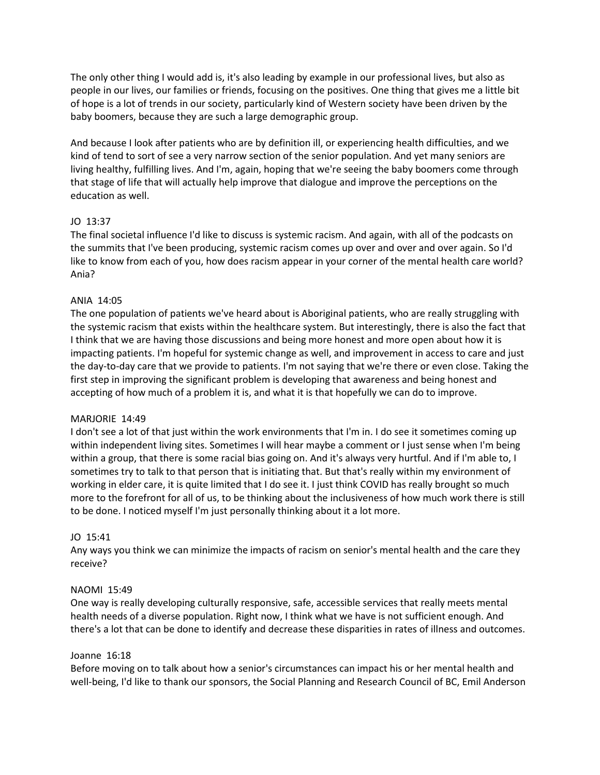The only other thing I would add is, it's also leading by example in our professional lives, but also as people in our lives, our families or friends, focusing on the positives. One thing that gives me a little bit of hope is a lot of trends in our society, particularly kind of Western society have been driven by the baby boomers, because they are such a large demographic group.

And because I look after patients who are by definition ill, or experiencing health difficulties, and we kind of tend to sort of see a very narrow section of the senior population. And yet many seniors are living healthy, fulfilling lives. And I'm, again, hoping that we're seeing the baby boomers come through that stage of life that will actually help improve that dialogue and improve the perceptions on the education as well.

# JO 13:37

The final societal influence I'd like to discuss is systemic racism. And again, with all of the podcasts on the summits that I've been producing, systemic racism comes up over and over and over again. So I'd like to know from each of you, how does racism appear in your corner of the mental health care world? Ania?

# ANIA 14:05

The one population of patients we've heard about is Aboriginal patients, who are really struggling with the systemic racism that exists within the healthcare system. But interestingly, there is also the fact that I think that we are having those discussions and being more honest and more open about how it is impacting patients. I'm hopeful for systemic change as well, and improvement in access to care and just the day-to-day care that we provide to patients. I'm not saying that we're there or even close. Taking the first step in improving the significant problem is developing that awareness and being honest and accepting of how much of a problem it is, and what it is that hopefully we can do to improve.

# MARJORIE 14:49

I don't see a lot of that just within the work environments that I'm in. I do see it sometimes coming up within independent living sites. Sometimes I will hear maybe a comment or I just sense when I'm being within a group, that there is some racial bias going on. And it's always very hurtful. And if I'm able to, I sometimes try to talk to that person that is initiating that. But that's really within my environment of working in elder care, it is quite limited that I do see it. I just think COVID has really brought so much more to the forefront for all of us, to be thinking about the inclusiveness of how much work there is still to be done. I noticed myself I'm just personally thinking about it a lot more.

#### JO 15:41

Any ways you think we can minimize the impacts of racism on senior's mental health and the care they receive?

#### NAOMI 15:49

One way is really developing culturally responsive, safe, accessible services that really meets mental health needs of a diverse population. Right now, I think what we have is not sufficient enough. And there's a lot that can be done to identify and decrease these disparities in rates of illness and outcomes.

#### Joanne 16:18

Before moving on to talk about how a senior's circumstances can impact his or her mental health and well-being, I'd like to thank our sponsors, the Social Planning and Research Council of BC, Emil Anderson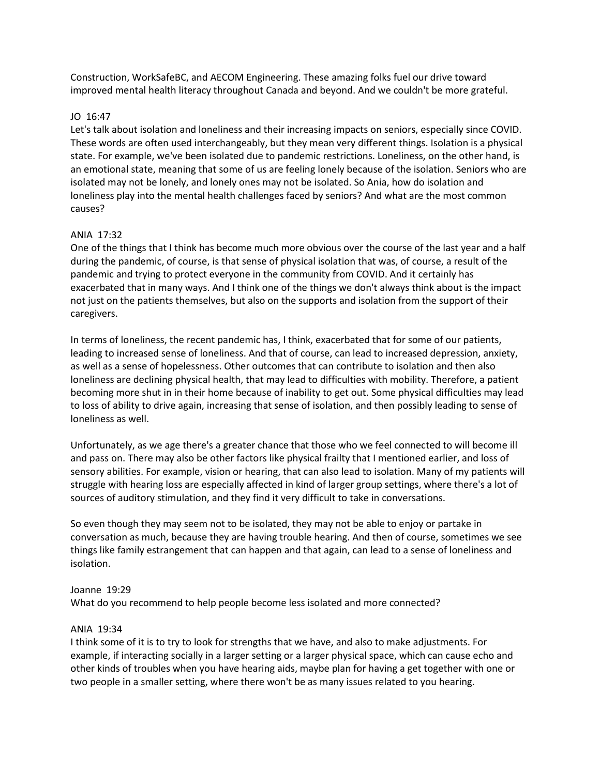Construction, WorkSafeBC, and AECOM Engineering. These amazing folks fuel our drive toward improved mental health literacy throughout Canada and beyond. And we couldn't be more grateful.

## JO 16:47

Let's talk about isolation and loneliness and their increasing impacts on seniors, especially since COVID. These words are often used interchangeably, but they mean very different things. Isolation is a physical state. For example, we've been isolated due to pandemic restrictions. Loneliness, on the other hand, is an emotional state, meaning that some of us are feeling lonely because of the isolation. Seniors who are isolated may not be lonely, and lonely ones may not be isolated. So Ania, how do isolation and loneliness play into the mental health challenges faced by seniors? And what are the most common causes?

# ANIA 17:32

One of the things that I think has become much more obvious over the course of the last year and a half during the pandemic, of course, is that sense of physical isolation that was, of course, a result of the pandemic and trying to protect everyone in the community from COVID. And it certainly has exacerbated that in many ways. And I think one of the things we don't always think about is the impact not just on the patients themselves, but also on the supports and isolation from the support of their caregivers.

In terms of loneliness, the recent pandemic has, I think, exacerbated that for some of our patients, leading to increased sense of loneliness. And that of course, can lead to increased depression, anxiety, as well as a sense of hopelessness. Other outcomes that can contribute to isolation and then also loneliness are declining physical health, that may lead to difficulties with mobility. Therefore, a patient becoming more shut in in their home because of inability to get out. Some physical difficulties may lead to loss of ability to drive again, increasing that sense of isolation, and then possibly leading to sense of loneliness as well.

Unfortunately, as we age there's a greater chance that those who we feel connected to will become ill and pass on. There may also be other factors like physical frailty that I mentioned earlier, and loss of sensory abilities. For example, vision or hearing, that can also lead to isolation. Many of my patients will struggle with hearing loss are especially affected in kind of larger group settings, where there's a lot of sources of auditory stimulation, and they find it very difficult to take in conversations.

So even though they may seem not to be isolated, they may not be able to enjoy or partake in conversation as much, because they are having trouble hearing. And then of course, sometimes we see things like family estrangement that can happen and that again, can lead to a sense of loneliness and isolation.

#### Joanne 19:29

What do you recommend to help people become less isolated and more connected?

## ANIA 19:34

I think some of it is to try to look for strengths that we have, and also to make adjustments. For example, if interacting socially in a larger setting or a larger physical space, which can cause echo and other kinds of troubles when you have hearing aids, maybe plan for having a get together with one or two people in a smaller setting, where there won't be as many issues related to you hearing.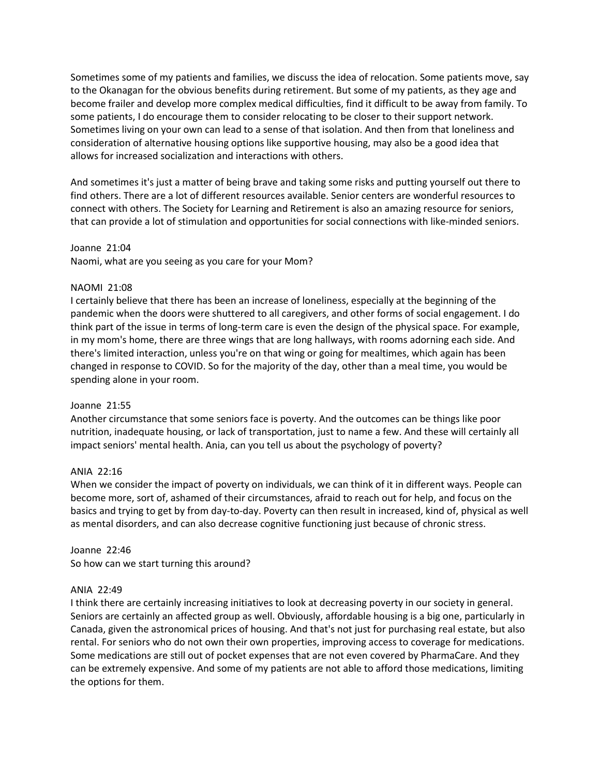Sometimes some of my patients and families, we discuss the idea of relocation. Some patients move, say to the Okanagan for the obvious benefits during retirement. But some of my patients, as they age and become frailer and develop more complex medical difficulties, find it difficult to be away from family. To some patients, I do encourage them to consider relocating to be closer to their support network. Sometimes living on your own can lead to a sense of that isolation. And then from that loneliness and consideration of alternative housing options like supportive housing, may also be a good idea that allows for increased socialization and interactions with others.

And sometimes it's just a matter of being brave and taking some risks and putting yourself out there to find others. There are a lot of different resources available. Senior centers are wonderful resources to connect with others. The Society for Learning and Retirement is also an amazing resource for seniors, that can provide a lot of stimulation and opportunities for social connections with like-minded seniors.

Joanne 21:04 Naomi, what are you seeing as you care for your Mom?

# NAOMI 21:08

I certainly believe that there has been an increase of loneliness, especially at the beginning of the pandemic when the doors were shuttered to all caregivers, and other forms of social engagement. I do think part of the issue in terms of long-term care is even the design of the physical space. For example, in my mom's home, there are three wings that are long hallways, with rooms adorning each side. And there's limited interaction, unless you're on that wing or going for mealtimes, which again has been changed in response to COVID. So for the majority of the day, other than a meal time, you would be spending alone in your room.

#### Joanne 21:55

Another circumstance that some seniors face is poverty. And the outcomes can be things like poor nutrition, inadequate housing, or lack of transportation, just to name a few. And these will certainly all impact seniors' mental health. Ania, can you tell us about the psychology of poverty?

#### ANIA 22:16

When we consider the impact of poverty on individuals, we can think of it in different ways. People can become more, sort of, ashamed of their circumstances, afraid to reach out for help, and focus on the basics and trying to get by from day-to-day. Poverty can then result in increased, kind of, physical as well as mental disorders, and can also decrease cognitive functioning just because of chronic stress.

#### Joanne 22:46

So how can we start turning this around?

#### ANIA 22:49

I think there are certainly increasing initiatives to look at decreasing poverty in our society in general. Seniors are certainly an affected group as well. Obviously, affordable housing is a big one, particularly in Canada, given the astronomical prices of housing. And that's not just for purchasing real estate, but also rental. For seniors who do not own their own properties, improving access to coverage for medications. Some medications are still out of pocket expenses that are not even covered by PharmaCare. And they can be extremely expensive. And some of my patients are not able to afford those medications, limiting the options for them.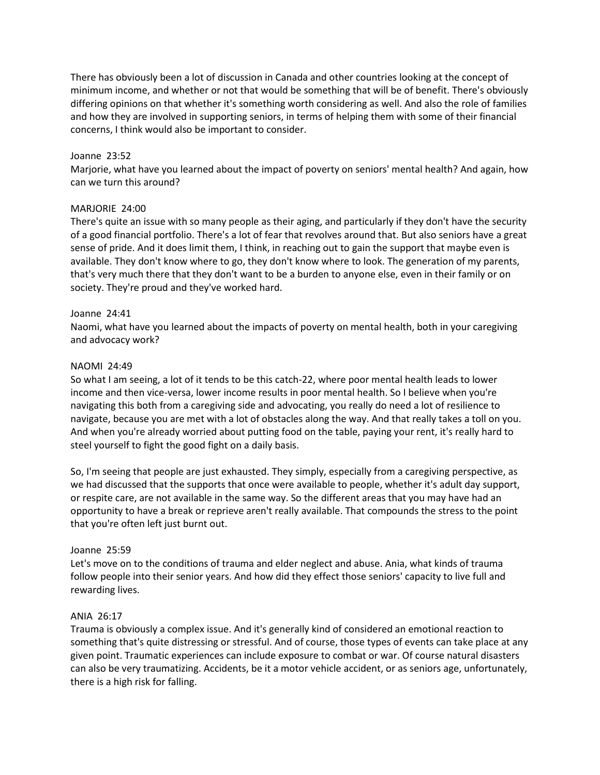There has obviously been a lot of discussion in Canada and other countries looking at the concept of minimum income, and whether or not that would be something that will be of benefit. There's obviously differing opinions on that whether it's something worth considering as well. And also the role of families and how they are involved in supporting seniors, in terms of helping them with some of their financial concerns, I think would also be important to consider.

# Joanne 23:52

Marjorie, what have you learned about the impact of poverty on seniors' mental health? And again, how can we turn this around?

# MARJORIE 24:00

There's quite an issue with so many people as their aging, and particularly if they don't have the security of a good financial portfolio. There's a lot of fear that revolves around that. But also seniors have a great sense of pride. And it does limit them, I think, in reaching out to gain the support that maybe even is available. They don't know where to go, they don't know where to look. The generation of my parents, that's very much there that they don't want to be a burden to anyone else, even in their family or on society. They're proud and they've worked hard.

# Joanne 24:41

Naomi, what have you learned about the impacts of poverty on mental health, both in your caregiving and advocacy work?

# NAOMI 24:49

So what I am seeing, a lot of it tends to be this catch-22, where poor mental health leads to lower income and then vice-versa, lower income results in poor mental health. So I believe when you're navigating this both from a caregiving side and advocating, you really do need a lot of resilience to navigate, because you are met with a lot of obstacles along the way. And that really takes a toll on you. And when you're already worried about putting food on the table, paying your rent, it's really hard to steel yourself to fight the good fight on a daily basis.

So, I'm seeing that people are just exhausted. They simply, especially from a caregiving perspective, as we had discussed that the supports that once were available to people, whether it's adult day support, or respite care, are not available in the same way. So the different areas that you may have had an opportunity to have a break or reprieve aren't really available. That compounds the stress to the point that you're often left just burnt out.

#### Joanne 25:59

Let's move on to the conditions of trauma and elder neglect and abuse. Ania, what kinds of trauma follow people into their senior years. And how did they effect those seniors' capacity to live full and rewarding lives.

#### ANIA 26:17

Trauma is obviously a complex issue. And it's generally kind of considered an emotional reaction to something that's quite distressing or stressful. And of course, those types of events can take place at any given point. Traumatic experiences can include exposure to combat or war. Of course natural disasters can also be very traumatizing. Accidents, be it a motor vehicle accident, or as seniors age, unfortunately, there is a high risk for falling.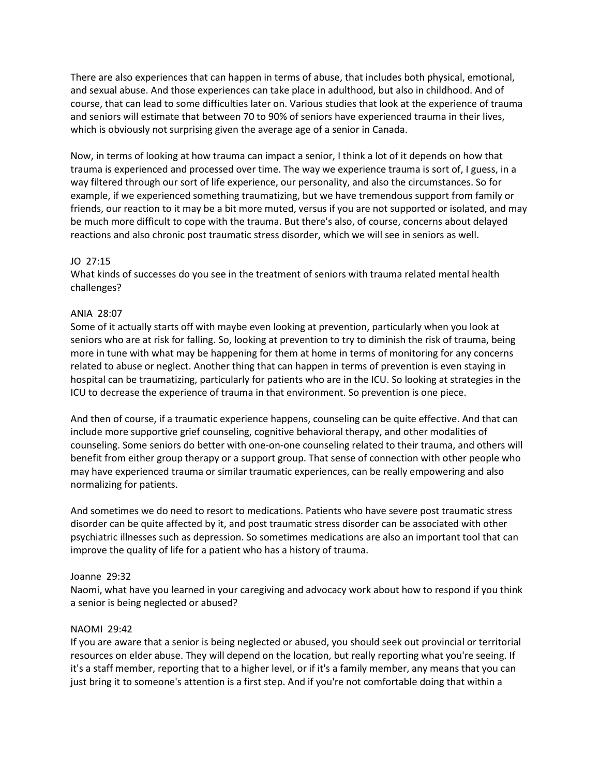There are also experiences that can happen in terms of abuse, that includes both physical, emotional, and sexual abuse. And those experiences can take place in adulthood, but also in childhood. And of course, that can lead to some difficulties later on. Various studies that look at the experience of trauma and seniors will estimate that between 70 to 90% of seniors have experienced trauma in their lives, which is obviously not surprising given the average age of a senior in Canada.

Now, in terms of looking at how trauma can impact a senior, I think a lot of it depends on how that trauma is experienced and processed over time. The way we experience trauma is sort of, I guess, in a way filtered through our sort of life experience, our personality, and also the circumstances. So for example, if we experienced something traumatizing, but we have tremendous support from family or friends, our reaction to it may be a bit more muted, versus if you are not supported or isolated, and may be much more difficult to cope with the trauma. But there's also, of course, concerns about delayed reactions and also chronic post traumatic stress disorder, which we will see in seniors as well.

# JO 27:15

What kinds of successes do you see in the treatment of seniors with trauma related mental health challenges?

# ANIA 28:07

Some of it actually starts off with maybe even looking at prevention, particularly when you look at seniors who are at risk for falling. So, looking at prevention to try to diminish the risk of trauma, being more in tune with what may be happening for them at home in terms of monitoring for any concerns related to abuse or neglect. Another thing that can happen in terms of prevention is even staying in hospital can be traumatizing, particularly for patients who are in the ICU. So looking at strategies in the ICU to decrease the experience of trauma in that environment. So prevention is one piece.

And then of course, if a traumatic experience happens, counseling can be quite effective. And that can include more supportive grief counseling, cognitive behavioral therapy, and other modalities of counseling. Some seniors do better with one-on-one counseling related to their trauma, and others will benefit from either group therapy or a support group. That sense of connection with other people who may have experienced trauma or similar traumatic experiences, can be really empowering and also normalizing for patients.

And sometimes we do need to resort to medications. Patients who have severe post traumatic stress disorder can be quite affected by it, and post traumatic stress disorder can be associated with other psychiatric illnesses such as depression. So sometimes medications are also an important tool that can improve the quality of life for a patient who has a history of trauma.

#### Joanne 29:32

Naomi, what have you learned in your caregiving and advocacy work about how to respond if you think a senior is being neglected or abused?

# NAOMI 29:42

If you are aware that a senior is being neglected or abused, you should seek out provincial or territorial resources on elder abuse. They will depend on the location, but really reporting what you're seeing. If it's a staff member, reporting that to a higher level, or if it's a family member, any means that you can just bring it to someone's attention is a first step. And if you're not comfortable doing that within a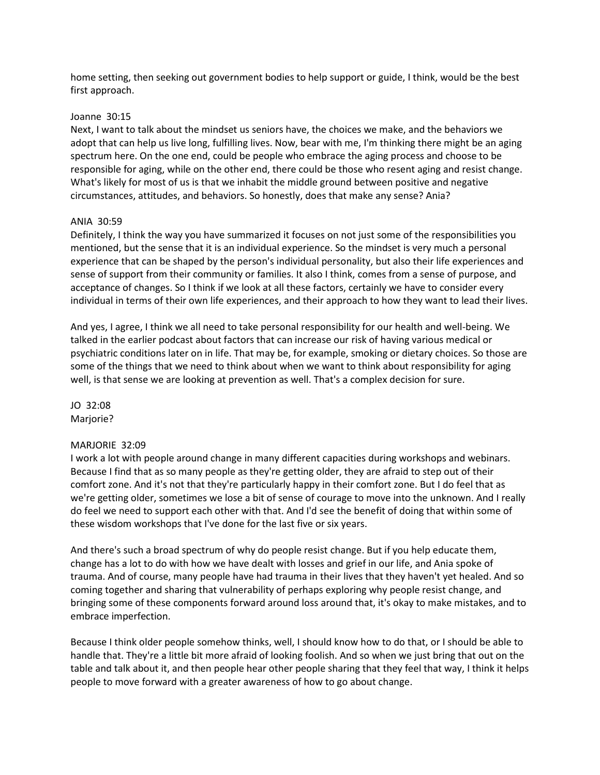home setting, then seeking out government bodies to help support or guide, I think, would be the best first approach.

#### Joanne 30:15

Next, I want to talk about the mindset us seniors have, the choices we make, and the behaviors we adopt that can help us live long, fulfilling lives. Now, bear with me, I'm thinking there might be an aging spectrum here. On the one end, could be people who embrace the aging process and choose to be responsible for aging, while on the other end, there could be those who resent aging and resist change. What's likely for most of us is that we inhabit the middle ground between positive and negative circumstances, attitudes, and behaviors. So honestly, does that make any sense? Ania?

#### ANIA 30:59

Definitely, I think the way you have summarized it focuses on not just some of the responsibilities you mentioned, but the sense that it is an individual experience. So the mindset is very much a personal experience that can be shaped by the person's individual personality, but also their life experiences and sense of support from their community or families. It also I think, comes from a sense of purpose, and acceptance of changes. So I think if we look at all these factors, certainly we have to consider every individual in terms of their own life experiences, and their approach to how they want to lead their lives.

And yes, I agree, I think we all need to take personal responsibility for our health and well-being. We talked in the earlier podcast about factors that can increase our risk of having various medical or psychiatric conditions later on in life. That may be, for example, smoking or dietary choices. So those are some of the things that we need to think about when we want to think about responsibility for aging well, is that sense we are looking at prevention as well. That's a complex decision for sure.

JO 32:08 Marjorie?

#### MARJORIE 32:09

I work a lot with people around change in many different capacities during workshops and webinars. Because I find that as so many people as they're getting older, they are afraid to step out of their comfort zone. And it's not that they're particularly happy in their comfort zone. But I do feel that as we're getting older, sometimes we lose a bit of sense of courage to move into the unknown. And I really do feel we need to support each other with that. And I'd see the benefit of doing that within some of these wisdom workshops that I've done for the last five or six years.

And there's such a broad spectrum of why do people resist change. But if you help educate them, change has a lot to do with how we have dealt with losses and grief in our life, and Ania spoke of trauma. And of course, many people have had trauma in their lives that they haven't yet healed. And so coming together and sharing that vulnerability of perhaps exploring why people resist change, and bringing some of these components forward around loss around that, it's okay to make mistakes, and to embrace imperfection.

Because I think older people somehow thinks, well, I should know how to do that, or I should be able to handle that. They're a little bit more afraid of looking foolish. And so when we just bring that out on the table and talk about it, and then people hear other people sharing that they feel that way, I think it helps people to move forward with a greater awareness of how to go about change.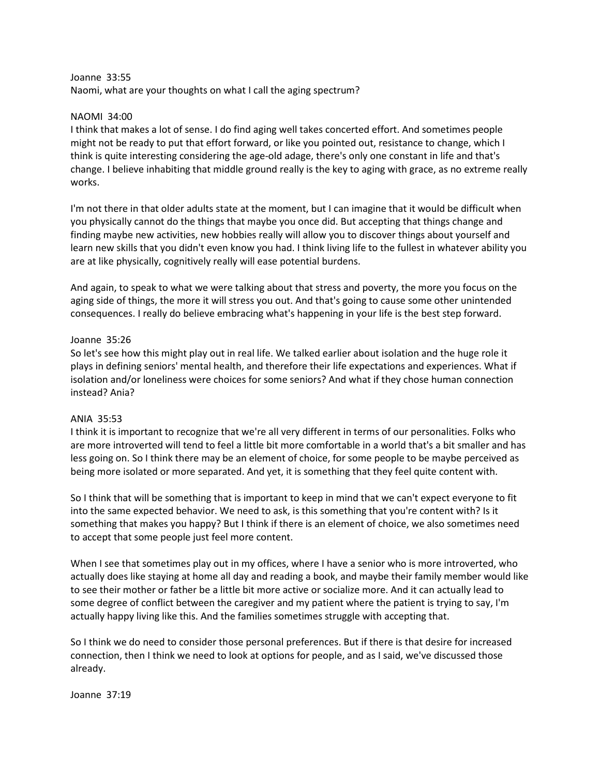#### Joanne 33:55

Naomi, what are your thoughts on what I call the aging spectrum?

## NAOMI 34:00

I think that makes a lot of sense. I do find aging well takes concerted effort. And sometimes people might not be ready to put that effort forward, or like you pointed out, resistance to change, which I think is quite interesting considering the age-old adage, there's only one constant in life and that's change. I believe inhabiting that middle ground really is the key to aging with grace, as no extreme really works.

I'm not there in that older adults state at the moment, but I can imagine that it would be difficult when you physically cannot do the things that maybe you once did. But accepting that things change and finding maybe new activities, new hobbies really will allow you to discover things about yourself and learn new skills that you didn't even know you had. I think living life to the fullest in whatever ability you are at like physically, cognitively really will ease potential burdens.

And again, to speak to what we were talking about that stress and poverty, the more you focus on the aging side of things, the more it will stress you out. And that's going to cause some other unintended consequences. I really do believe embracing what's happening in your life is the best step forward.

# Joanne 35:26

So let's see how this might play out in real life. We talked earlier about isolation and the huge role it plays in defining seniors' mental health, and therefore their life expectations and experiences. What if isolation and/or loneliness were choices for some seniors? And what if they chose human connection instead? Ania?

#### ANIA 35:53

I think it is important to recognize that we're all very different in terms of our personalities. Folks who are more introverted will tend to feel a little bit more comfortable in a world that's a bit smaller and has less going on. So I think there may be an element of choice, for some people to be maybe perceived as being more isolated or more separated. And yet, it is something that they feel quite content with.

So I think that will be something that is important to keep in mind that we can't expect everyone to fit into the same expected behavior. We need to ask, is this something that you're content with? Is it something that makes you happy? But I think if there is an element of choice, we also sometimes need to accept that some people just feel more content.

When I see that sometimes play out in my offices, where I have a senior who is more introverted, who actually does like staying at home all day and reading a book, and maybe their family member would like to see their mother or father be a little bit more active or socialize more. And it can actually lead to some degree of conflict between the caregiver and my patient where the patient is trying to say, I'm actually happy living like this. And the families sometimes struggle with accepting that.

So I think we do need to consider those personal preferences. But if there is that desire for increased connection, then I think we need to look at options for people, and as I said, we've discussed those already.

Joanne 37:19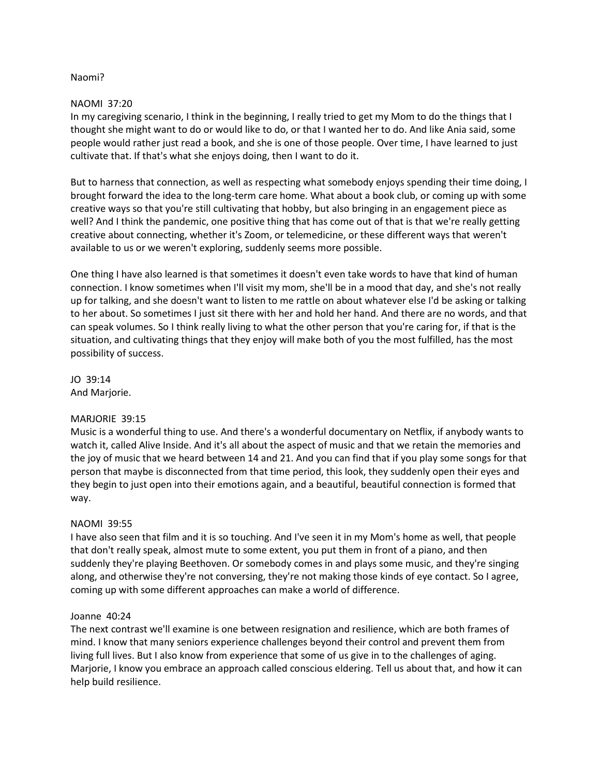# Naomi?

## NAOMI 37:20

In my caregiving scenario, I think in the beginning, I really tried to get my Mom to do the things that I thought she might want to do or would like to do, or that I wanted her to do. And like Ania said, some people would rather just read a book, and she is one of those people. Over time, I have learned to just cultivate that. If that's what she enjoys doing, then I want to do it.

But to harness that connection, as well as respecting what somebody enjoys spending their time doing, I brought forward the idea to the long-term care home. What about a book club, or coming up with some creative ways so that you're still cultivating that hobby, but also bringing in an engagement piece as well? And I think the pandemic, one positive thing that has come out of that is that we're really getting creative about connecting, whether it's Zoom, or telemedicine, or these different ways that weren't available to us or we weren't exploring, suddenly seems more possible.

One thing I have also learned is that sometimes it doesn't even take words to have that kind of human connection. I know sometimes when I'll visit my mom, she'll be in a mood that day, and she's not really up for talking, and she doesn't want to listen to me rattle on about whatever else I'd be asking or talking to her about. So sometimes I just sit there with her and hold her hand. And there are no words, and that can speak volumes. So I think really living to what the other person that you're caring for, if that is the situation, and cultivating things that they enjoy will make both of you the most fulfilled, has the most possibility of success.

JO 39:14 And Marjorie.

# MARJORIE 39:15

Music is a wonderful thing to use. And there's a wonderful documentary on Netflix, if anybody wants to watch it, called Alive Inside. And it's all about the aspect of music and that we retain the memories and the joy of music that we heard between 14 and 21. And you can find that if you play some songs for that person that maybe is disconnected from that time period, this look, they suddenly open their eyes and they begin to just open into their emotions again, and a beautiful, beautiful connection is formed that way.

#### NAOMI 39:55

I have also seen that film and it is so touching. And I've seen it in my Mom's home as well, that people that don't really speak, almost mute to some extent, you put them in front of a piano, and then suddenly they're playing Beethoven. Or somebody comes in and plays some music, and they're singing along, and otherwise they're not conversing, they're not making those kinds of eye contact. So I agree, coming up with some different approaches can make a world of difference.

#### Joanne 40:24

The next contrast we'll examine is one between resignation and resilience, which are both frames of mind. I know that many seniors experience challenges beyond their control and prevent them from living full lives. But I also know from experience that some of us give in to the challenges of aging. Marjorie, I know you embrace an approach called conscious eldering. Tell us about that, and how it can help build resilience.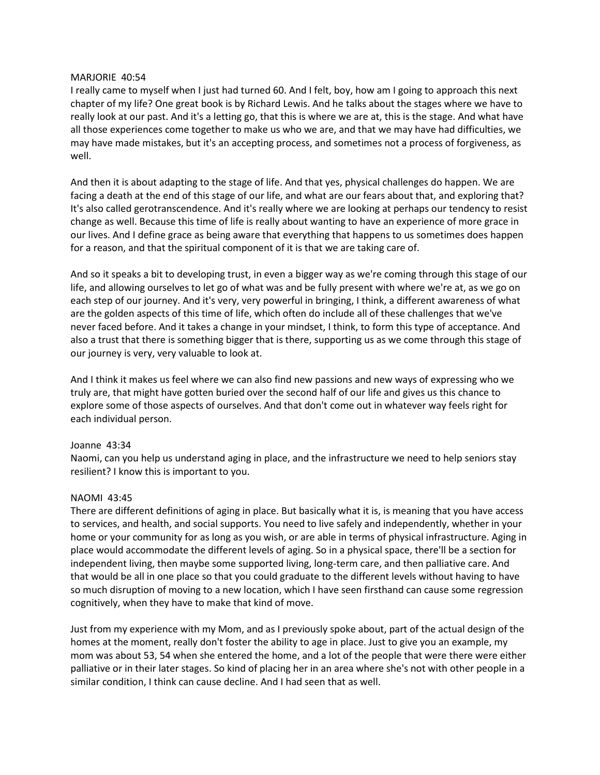## MARJORIE 40:54

I really came to myself when I just had turned 60. And I felt, boy, how am I going to approach this next chapter of my life? One great book is by Richard Lewis. And he talks about the stages where we have to really look at our past. And it's a letting go, that this is where we are at, this is the stage. And what have all those experiences come together to make us who we are, and that we may have had difficulties, we may have made mistakes, but it's an accepting process, and sometimes not a process of forgiveness, as well.

And then it is about adapting to the stage of life. And that yes, physical challenges do happen. We are facing a death at the end of this stage of our life, and what are our fears about that, and exploring that? It's also called gerotranscendence. And it's really where we are looking at perhaps our tendency to resist change as well. Because this time of life is really about wanting to have an experience of more grace in our lives. And I define grace as being aware that everything that happens to us sometimes does happen for a reason, and that the spiritual component of it is that we are taking care of.

And so it speaks a bit to developing trust, in even a bigger way as we're coming through this stage of our life, and allowing ourselves to let go of what was and be fully present with where we're at, as we go on each step of our journey. And it's very, very powerful in bringing, I think, a different awareness of what are the golden aspects of this time of life, which often do include all of these challenges that we've never faced before. And it takes a change in your mindset, I think, to form this type of acceptance. And also a trust that there is something bigger that is there, supporting us as we come through this stage of our journey is very, very valuable to look at.

And I think it makes us feel where we can also find new passions and new ways of expressing who we truly are, that might have gotten buried over the second half of our life and gives us this chance to explore some of those aspects of ourselves. And that don't come out in whatever way feels right for each individual person.

#### Joanne 43:34

Naomi, can you help us understand aging in place, and the infrastructure we need to help seniors stay resilient? I know this is important to you.

# NAOMI 43:45

There are different definitions of aging in place. But basically what it is, is meaning that you have access to services, and health, and social supports. You need to live safely and independently, whether in your home or your community for as long as you wish, or are able in terms of physical infrastructure. Aging in place would accommodate the different levels of aging. So in a physical space, there'll be a section for independent living, then maybe some supported living, long-term care, and then palliative care. And that would be all in one place so that you could graduate to the different levels without having to have so much disruption of moving to a new location, which I have seen firsthand can cause some regression cognitively, when they have to make that kind of move.

Just from my experience with my Mom, and as I previously spoke about, part of the actual design of the homes at the moment, really don't foster the ability to age in place. Just to give you an example, my mom was about 53, 54 when she entered the home, and a lot of the people that were there were either palliative or in their later stages. So kind of placing her in an area where she's not with other people in a similar condition, I think can cause decline. And I had seen that as well.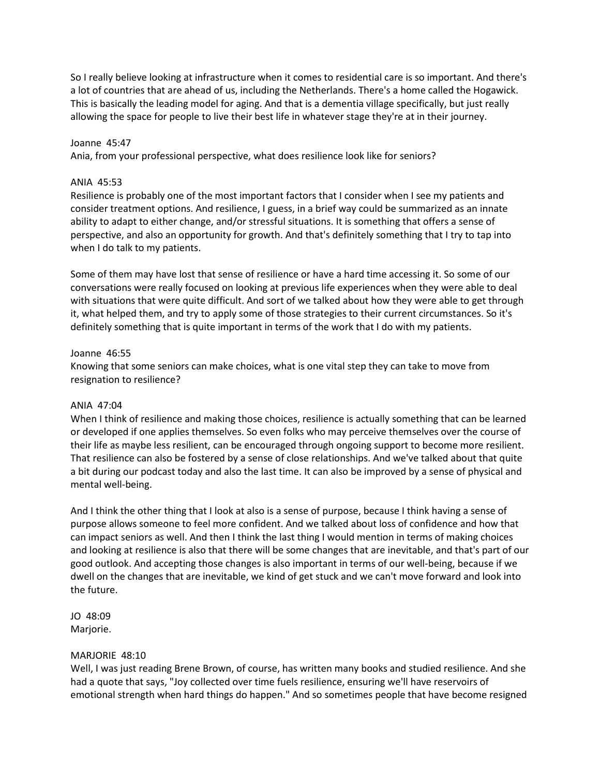So I really believe looking at infrastructure when it comes to residential care is so important. And there's a lot of countries that are ahead of us, including the Netherlands. There's a home called the Hogawick. This is basically the leading model for aging. And that is a dementia village specifically, but just really allowing the space for people to live their best life in whatever stage they're at in their journey.

## Joanne 45:47

Ania, from your professional perspective, what does resilience look like for seniors?

# ANIA 45:53

Resilience is probably one of the most important factors that I consider when I see my patients and consider treatment options. And resilience, I guess, in a brief way could be summarized as an innate ability to adapt to either change, and/or stressful situations. It is something that offers a sense of perspective, and also an opportunity for growth. And that's definitely something that I try to tap into when I do talk to my patients.

Some of them may have lost that sense of resilience or have a hard time accessing it. So some of our conversations were really focused on looking at previous life experiences when they were able to deal with situations that were quite difficult. And sort of we talked about how they were able to get through it, what helped them, and try to apply some of those strategies to their current circumstances. So it's definitely something that is quite important in terms of the work that I do with my patients.

# Joanne 46:55

Knowing that some seniors can make choices, what is one vital step they can take to move from resignation to resilience?

# ANIA 47:04

When I think of resilience and making those choices, resilience is actually something that can be learned or developed if one applies themselves. So even folks who may perceive themselves over the course of their life as maybe less resilient, can be encouraged through ongoing support to become more resilient. That resilience can also be fostered by a sense of close relationships. And we've talked about that quite a bit during our podcast today and also the last time. It can also be improved by a sense of physical and mental well-being.

And I think the other thing that I look at also is a sense of purpose, because I think having a sense of purpose allows someone to feel more confident. And we talked about loss of confidence and how that can impact seniors as well. And then I think the last thing I would mention in terms of making choices and looking at resilience is also that there will be some changes that are inevitable, and that's part of our good outlook. And accepting those changes is also important in terms of our well-being, because if we dwell on the changes that are inevitable, we kind of get stuck and we can't move forward and look into the future.

JO 48:09 Marjorie.

# MARJORIE 48:10

Well, I was just reading Brene Brown, of course, has written many books and studied resilience. And she had a quote that says, "Joy collected over time fuels resilience, ensuring we'll have reservoirs of emotional strength when hard things do happen." And so sometimes people that have become resigned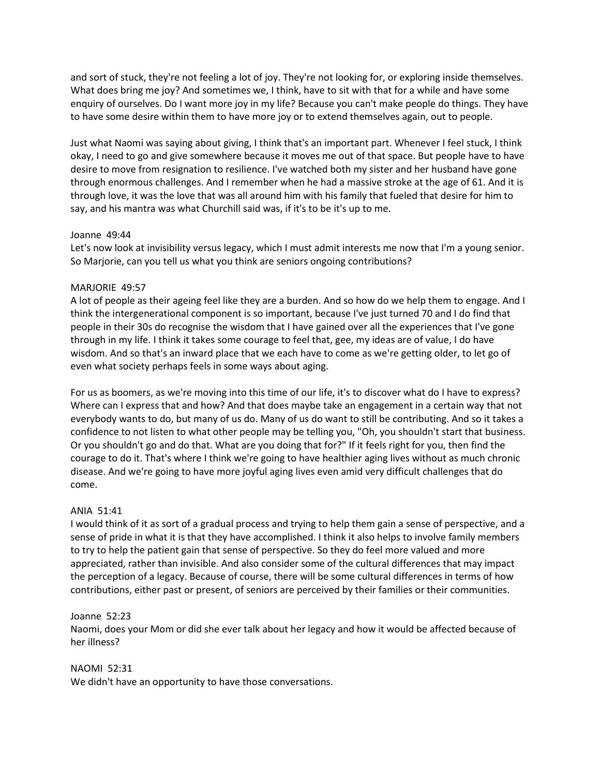and sort of stuck, they're not feeling a lot of joy. They're not looking for, or exploring inside themselves. What does bring me joy? And sometimes we, I think, have to sit with that for a while and have some enquiry of ourselves. Do I want more joy in my life? Because you can't make people do things. They have to have some desire within them to have more joy or to extend themselves again, out to people.

Just what Naomi was saying about giving, I think that's an important part. Whenever I feel stuck, I think okay, I need to go and give somewhere because it moves me out of that space. But people have to have desire to move from resignation to resilience. I've watched both my sister and her husband have gone through enormous challenges. And I remember when he had a massive stroke at the age of 61. And it is through love, it was the love that was all around him with his family that fueled that desire for him to say, and his mantra was what Churchill said was, if it's to be it's up to me.

# Joanne 49:44

Let's now look at invisibility versus legacy, which I must admit interests me now that I'm a young senior. So Marjorie, can you tell us what you think are seniors ongoing contributions?

# MARJORIE 49:57

A lot of people as their ageing feel like they are a burden. And so how do we help them to engage. And I think the intergenerational component is so important, because I've just turned 70 and I do find that people in their 30s do recognise the wisdom that I have gained over all the experiences that I've gone through in my life. I think it takes some courage to feel that, gee, my ideas are of value, I do have wisdom. And so that's an inward place that we each have to come as we're getting older, to let go of even what society perhaps feels in some ways about aging.

For us as boomers, as we're moving into this time of our life, it's to discover what do I have to express? Where can I express that and how? And that does maybe take an engagement in a certain way that not everybody wants to do, but many of us do. Many of us do want to still be contributing. And so it takes a confidence to not listen to what other people may be telling you, "Oh, you shouldn't start that business. Or you shouldn't go and do that. What are you doing that for?" If it feels right for you, then find the courage to do it. That's where I think we're going to have healthier aging lives without as much chronic disease. And we're going to have more joyful aging lives even amid very difficult challenges that do come.

#### ANIA 51:41

I would think of it as sort of a gradual process and trying to help them gain a sense of perspective, and a sense of pride in what it is that they have accomplished. I think it also helps to involve family members to try to help the patient gain that sense of perspective. So they do feel more valued and more appreciated, rather than invisible. And also consider some of the cultural differences that may impact the perception of a legacy. Because of course, there will be some cultural differences in terms of how contributions, either past or present, of seniors are perceived by their families or their communities.

# Joanne 52:23

Naomi, does your Mom or did she ever talk about her legacy and how it would be affected because of her illness?

#### NAOMI 52:31

We didn't have an opportunity to have those conversations.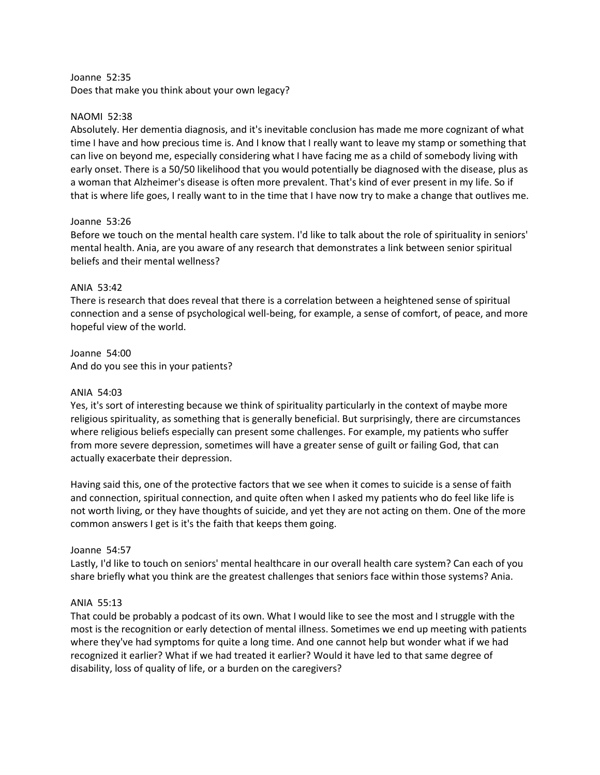#### Joanne 52:35

Does that make you think about your own legacy?

## NAOMI 52:38

Absolutely. Her dementia diagnosis, and it's inevitable conclusion has made me more cognizant of what time I have and how precious time is. And I know that I really want to leave my stamp or something that can live on beyond me, especially considering what I have facing me as a child of somebody living with early onset. There is a 50/50 likelihood that you would potentially be diagnosed with the disease, plus as a woman that Alzheimer's disease is often more prevalent. That's kind of ever present in my life. So if that is where life goes, I really want to in the time that I have now try to make a change that outlives me.

# Joanne 53:26

Before we touch on the mental health care system. I'd like to talk about the role of spirituality in seniors' mental health. Ania, are you aware of any research that demonstrates a link between senior spiritual beliefs and their mental wellness?

# ANIA 53:42

There is research that does reveal that there is a correlation between a heightened sense of spiritual connection and a sense of psychological well-being, for example, a sense of comfort, of peace, and more hopeful view of the world.

Joanne 54:00 And do you see this in your patients?

## ANIA 54:03

Yes, it's sort of interesting because we think of spirituality particularly in the context of maybe more religious spirituality, as something that is generally beneficial. But surprisingly, there are circumstances where religious beliefs especially can present some challenges. For example, my patients who suffer from more severe depression, sometimes will have a greater sense of guilt or failing God, that can actually exacerbate their depression.

Having said this, one of the protective factors that we see when it comes to suicide is a sense of faith and connection, spiritual connection, and quite often when I asked my patients who do feel like life is not worth living, or they have thoughts of suicide, and yet they are not acting on them. One of the more common answers I get is it's the faith that keeps them going.

# Joanne 54:57

Lastly, I'd like to touch on seniors' mental healthcare in our overall health care system? Can each of you share briefly what you think are the greatest challenges that seniors face within those systems? Ania.

# ANIA 55:13

That could be probably a podcast of its own. What I would like to see the most and I struggle with the most is the recognition or early detection of mental illness. Sometimes we end up meeting with patients where they've had symptoms for quite a long time. And one cannot help but wonder what if we had recognized it earlier? What if we had treated it earlier? Would it have led to that same degree of disability, loss of quality of life, or a burden on the caregivers?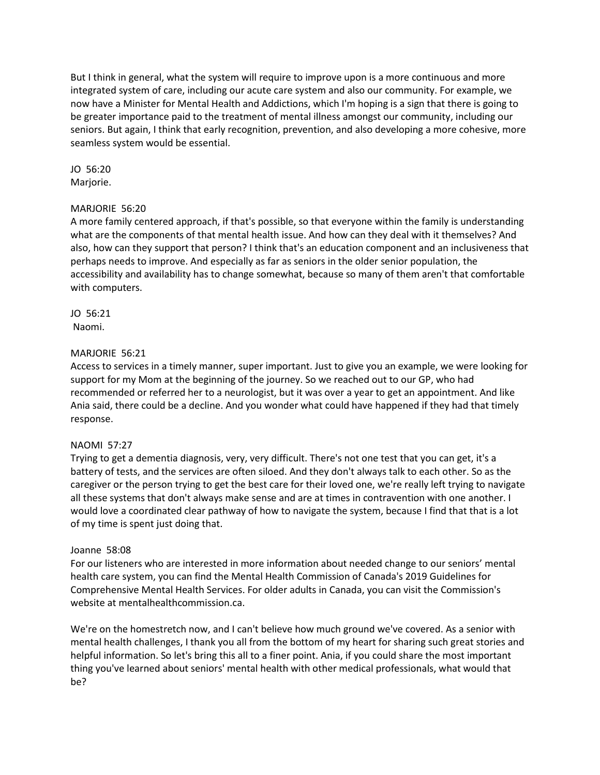But I think in general, what the system will require to improve upon is a more continuous and more integrated system of care, including our acute care system and also our community. For example, we now have a Minister for Mental Health and Addictions, which I'm hoping is a sign that there is going to be greater importance paid to the treatment of mental illness amongst our community, including our seniors. But again, I think that early recognition, prevention, and also developing a more cohesive, more seamless system would be essential.

JO 56:20 Marjorie.

# MARJORIE 56:20

A more family centered approach, if that's possible, so that everyone within the family is understanding what are the components of that mental health issue. And how can they deal with it themselves? And also, how can they support that person? I think that's an education component and an inclusiveness that perhaps needs to improve. And especially as far as seniors in the older senior population, the accessibility and availability has to change somewhat, because so many of them aren't that comfortable with computers.

JO 56:21 Naomi.

# MARJORIE 56:21

Access to services in a timely manner, super important. Just to give you an example, we were looking for support for my Mom at the beginning of the journey. So we reached out to our GP, who had recommended or referred her to a neurologist, but it was over a year to get an appointment. And like Ania said, there could be a decline. And you wonder what could have happened if they had that timely response.

#### NAOMI 57:27

Trying to get a dementia diagnosis, very, very difficult. There's not one test that you can get, it's a battery of tests, and the services are often siloed. And they don't always talk to each other. So as the caregiver or the person trying to get the best care for their loved one, we're really left trying to navigate all these systems that don't always make sense and are at times in contravention with one another. I would love a coordinated clear pathway of how to navigate the system, because I find that that is a lot of my time is spent just doing that.

#### Joanne 58:08

For our listeners who are interested in more information about needed change to our seniors' mental health care system, you can find the Mental Health Commission of Canada's 2019 Guidelines for Comprehensive Mental Health Services. For older adults in Canada, you can visit the Commission's website at mentalhealthcommission.ca.

We're on the homestretch now, and I can't believe how much ground we've covered. As a senior with mental health challenges, I thank you all from the bottom of my heart for sharing such great stories and helpful information. So let's bring this all to a finer point. Ania, if you could share the most important thing you've learned about seniors' mental health with other medical professionals, what would that be?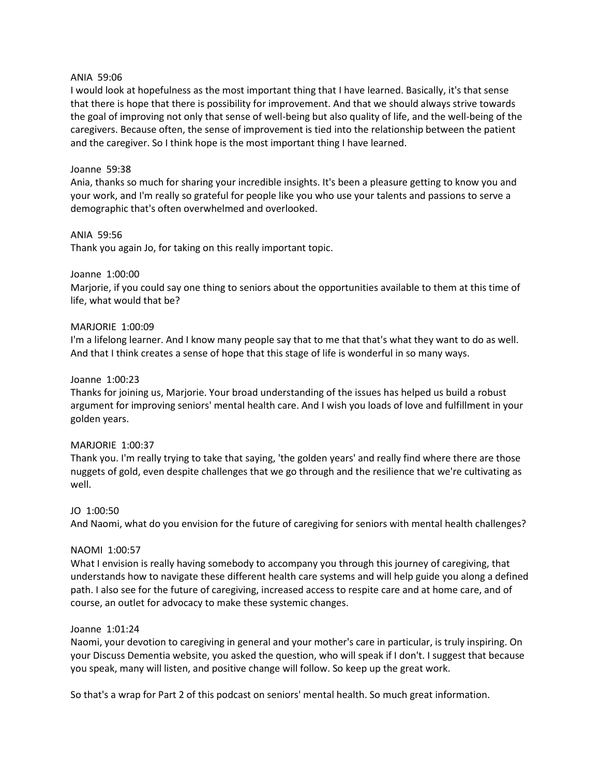## ANIA 59:06

I would look at hopefulness as the most important thing that I have learned. Basically, it's that sense that there is hope that there is possibility for improvement. And that we should always strive towards the goal of improving not only that sense of well-being but also quality of life, and the well-being of the caregivers. Because often, the sense of improvement is tied into the relationship between the patient and the caregiver. So I think hope is the most important thing I have learned.

# Joanne 59:38

Ania, thanks so much for sharing your incredible insights. It's been a pleasure getting to know you and your work, and I'm really so grateful for people like you who use your talents and passions to serve a demographic that's often overwhelmed and overlooked.

# ANIA 59:56

Thank you again Jo, for taking on this really important topic.

# Joanne 1:00:00

Marjorie, if you could say one thing to seniors about the opportunities available to them at this time of life, what would that be?

#### MARJORIE 1:00:09

I'm a lifelong learner. And I know many people say that to me that that's what they want to do as well. And that I think creates a sense of hope that this stage of life is wonderful in so many ways.

#### Joanne 1:00:23

Thanks for joining us, Marjorie. Your broad understanding of the issues has helped us build a robust argument for improving seniors' mental health care. And I wish you loads of love and fulfillment in your golden years.

#### MARJORIE 1:00:37

Thank you. I'm really trying to take that saying, 'the golden years' and really find where there are those nuggets of gold, even despite challenges that we go through and the resilience that we're cultivating as well.

#### JO 1:00:50

And Naomi, what do you envision for the future of caregiving for seniors with mental health challenges?

#### NAOMI 1:00:57

What I envision is really having somebody to accompany you through this journey of caregiving, that understands how to navigate these different health care systems and will help guide you along a defined path. I also see for the future of caregiving, increased access to respite care and at home care, and of course, an outlet for advocacy to make these systemic changes.

## Joanne 1:01:24

Naomi, your devotion to caregiving in general and your mother's care in particular, is truly inspiring. On your Discuss Dementia website, you asked the question, who will speak if I don't. I suggest that because you speak, many will listen, and positive change will follow. So keep up the great work.

So that's a wrap for Part 2 of this podcast on seniors' mental health. So much great information.